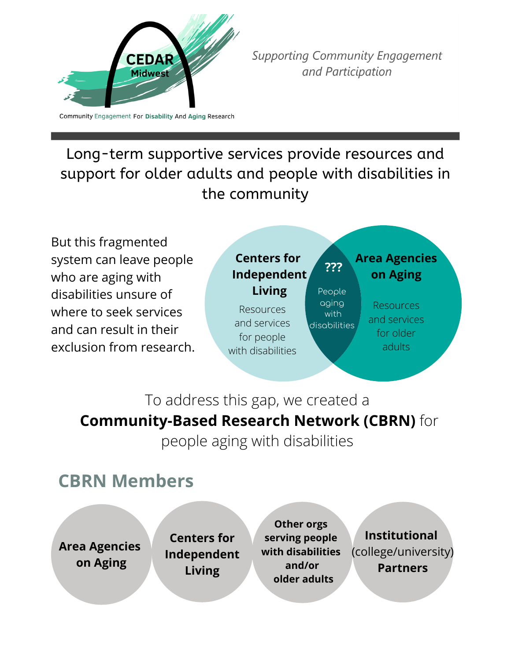

**Supporting Community Engagement** and Participation

Community Engagement For Disability And Aging Research

### Long-term supportive services provide resources and support for older adults and people with disabilities in the community

But this fragmented system can leave people who are aging with disabilities unsure of where to seek services and can result in their exclusion from research.



## To address this gap, we created a **Community-Based Research Network (CBRN)** for

people aging with disabilities

## **CBRN Members**

**Area Agencies on Aging**

**Centers for Centers for Independent Independent Living Living**

**Other orgs serving people with disabilities and/or older adults**

**Institutional** (college/university) **Partners**